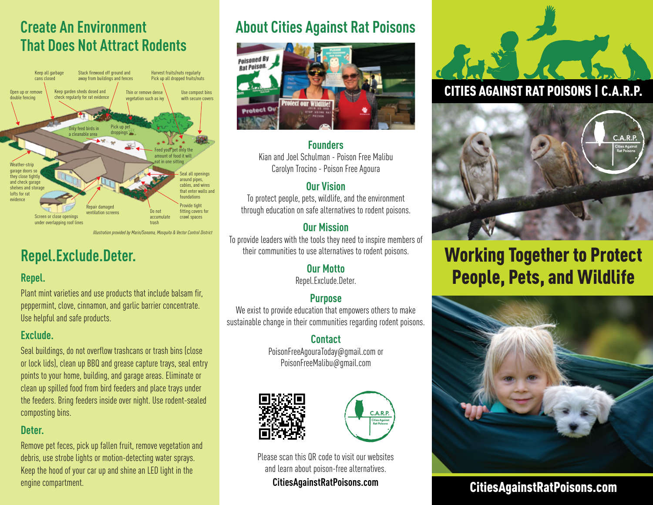# **Create An Environment That Does Not Attract Rodents**



*Illustration provided by Marin/Sonoma, Mosquito & Vector Control District*

# **Repel.Exclude.Deter.**

### **Repel.**

Plant mint varieties and use products that include balsam fir, peppermint, clove, cinnamon, and garlic barrier concentrate. Use helpful and safe products.

### **Exclude.**

Seal buildings, do not overflow trashcans or trash bins (close or lock lids), clean up BBQ and grease capture trays, seal entry points to your home, building, and garage areas. Eliminate or clean up spilled food from bird feeders and place trays under the feeders. Bring feeders inside over night. Use rodent-sealed composting bins.

### **Deter.**

Remove pet feces, pick up fallen fruit, remove vegetation and debris, use strobe lights or motion-detecting water sprays. Keep the hood of your car up and shine an LED light in the engine compartment.

# **About Cities Against Rat Poisons**



### **Founders**

Kian and Joel Schulman - Poison Free Malibu Carolyn Trocino - Poison Free Agoura

### **Our Vision**

To protect people, pets, wildlife, and the environment through education on safe alternatives to rodent poisons.

### **Our Mission**

To provide leaders with the tools they need to inspire members of their communities to use alternatives to rodent poisons.

### **Our Motto**

Repel.Exclude.Deter.

### **Purpose**

We exist to provide education that empowers others to make sustainable change in their communities regarding rodent poisons.

### **Contact**

PoisonFreeAgouraToday@gmail.com or PoisonFreeMalibu@gmail.com





Please scan this QR code to visit our websites and learn about poison-free alternatives.

**CitiesAgainstRatPoisons.com**

# CITIES AGAINST RAT POISONS | C.A.R.P.



# Working Together to Protect People, Pets, and Wildlife



### CitiesAgainstRatPoisons.com